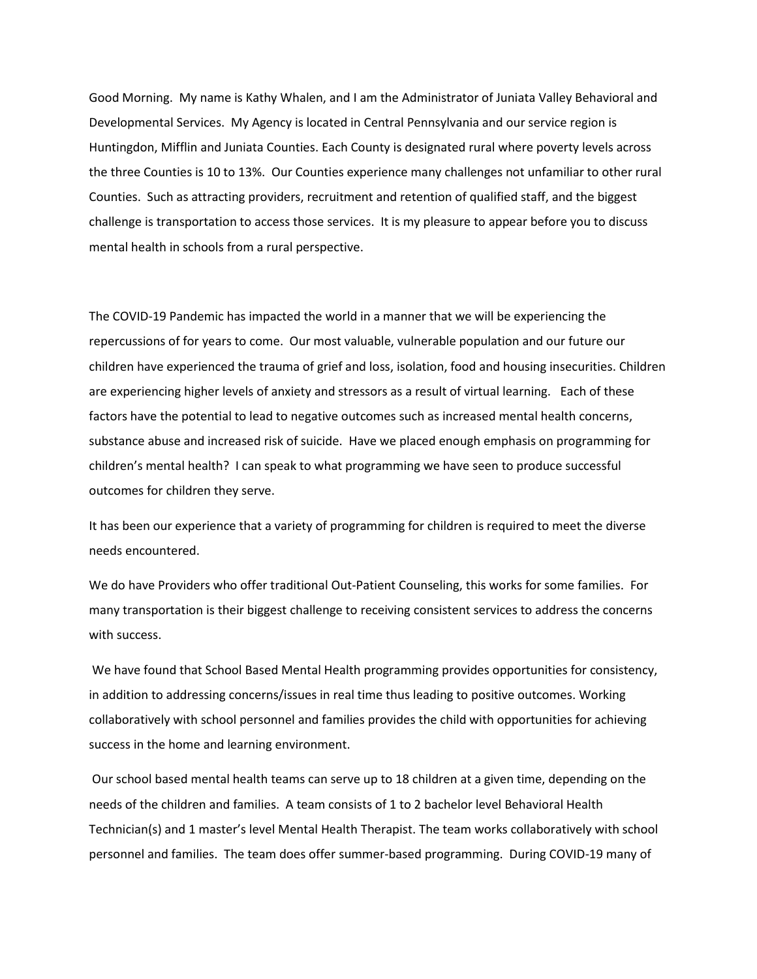Good Morning. My name is Kathy Whalen, and I am the Administrator of Juniata Valley Behavioral and Developmental Services. My Agency is located in Central Pennsylvania and our service region is Huntingdon, Mifflin and Juniata Counties. Each County is designated rural where poverty levels across the three Counties is 10 to 13%. Our Counties experience many challenges not unfamiliar to other rural Counties. Such as attracting providers, recruitment and retention of qualified staff, and the biggest challenge is transportation to access those services. It is my pleasure to appear before you to discuss mental health in schools from a rural perspective.

The COVID-19 Pandemic has impacted the world in a manner that we will be experiencing the repercussions of for years to come. Our most valuable, vulnerable population and our future our children have experienced the trauma of grief and loss, isolation, food and housing insecurities. Children are experiencing higher levels of anxiety and stressors as a result of virtual learning. Each of these factors have the potential to lead to negative outcomes such as increased mental health concerns, substance abuse and increased risk of suicide. Have we placed enough emphasis on programming for children's mental health? I can speak to what programming we have seen to produce successful outcomes for children they serve.

It has been our experience that a variety of programming for children is required to meet the diverse needs encountered.

We do have Providers who offer traditional Out-Patient Counseling, this works for some families. For many transportation is their biggest challenge to receiving consistent services to address the concerns with success.

We have found that School Based Mental Health programming provides opportunities for consistency, in addition to addressing concerns/issues in real time thus leading to positive outcomes. Working collaboratively with school personnel and families provides the child with opportunities for achieving success in the home and learning environment.

Our school based mental health teams can serve up to 18 children at a given time, depending on the needs of the children and families. A team consists of 1 to 2 bachelor level Behavioral Health Technician(s) and 1 master's level Mental Health Therapist. The team works collaboratively with school personnel and families. The team does offer summer-based programming. During COVID-19 many of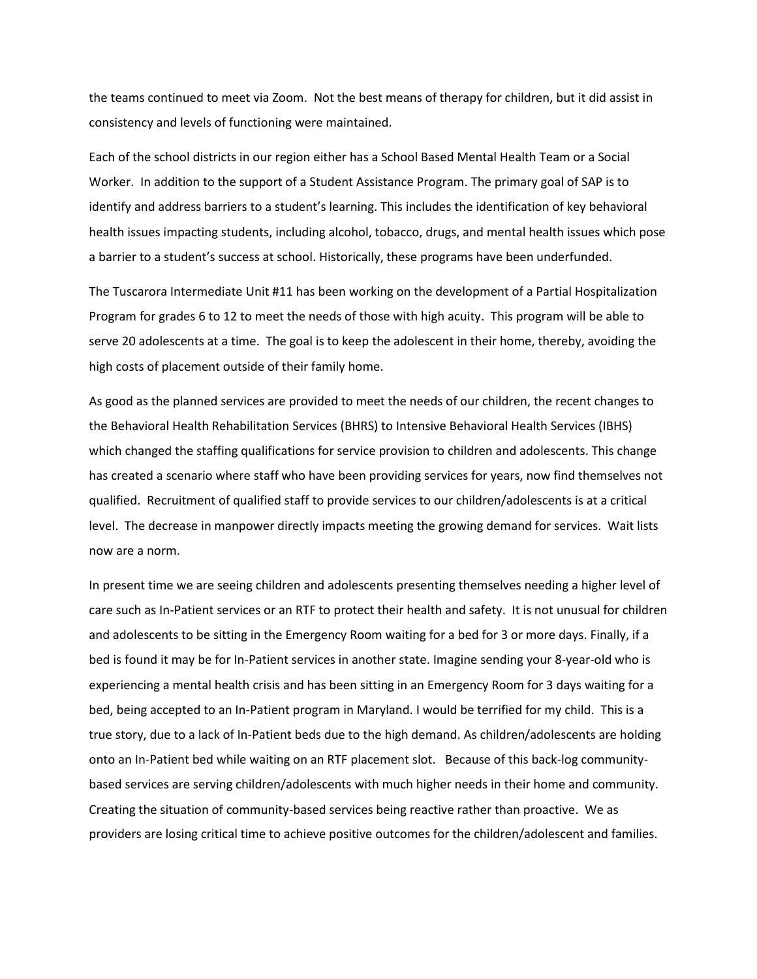the teams continued to meet via Zoom. Not the best means of therapy for children, but it did assist in consistency and levels of functioning were maintained.

Each of the school districts in our region either has a School Based Mental Health Team or a Social Worker. In addition to the support of a Student Assistance Program. The primary goal of SAP is to identify and address barriers to a student's learning. This includes the identification of key behavioral health issues impacting students, including alcohol, tobacco, drugs, and mental health issues which pose a barrier to a student's success at school. Historically, these programs have been underfunded.

The Tuscarora Intermediate Unit #11 has been working on the development of a Partial Hospitalization Program for grades 6 to 12 to meet the needs of those with high acuity. This program will be able to serve 20 adolescents at a time. The goal is to keep the adolescent in their home, thereby, avoiding the high costs of placement outside of their family home.

As good as the planned services are provided to meet the needs of our children, the recent changes to the Behavioral Health Rehabilitation Services (BHRS) to Intensive Behavioral Health Services (IBHS) which changed the staffing qualifications for service provision to children and adolescents. This change has created a scenario where staff who have been providing services for years, now find themselves not qualified. Recruitment of qualified staff to provide services to our children/adolescents is at a critical level. The decrease in manpower directly impacts meeting the growing demand for services. Wait lists now are a norm.

In present time we are seeing children and adolescents presenting themselves needing a higher level of care such as In-Patient services or an RTF to protect their health and safety. It is not unusual for children and adolescents to be sitting in the Emergency Room waiting for a bed for 3 or more days. Finally, if a bed is found it may be for In-Patient services in another state. Imagine sending your 8-year-old who is experiencing a mental health crisis and has been sitting in an Emergency Room for 3 days waiting for a bed, being accepted to an In-Patient program in Maryland. I would be terrified for my child. This is a true story, due to a lack of In-Patient beds due to the high demand. As children/adolescents are holding onto an In-Patient bed while waiting on an RTF placement slot. Because of this back-log communitybased services are serving children/adolescents with much higher needs in their home and community. Creating the situation of community-based services being reactive rather than proactive. We as providers are losing critical time to achieve positive outcomes for the children/adolescent and families.